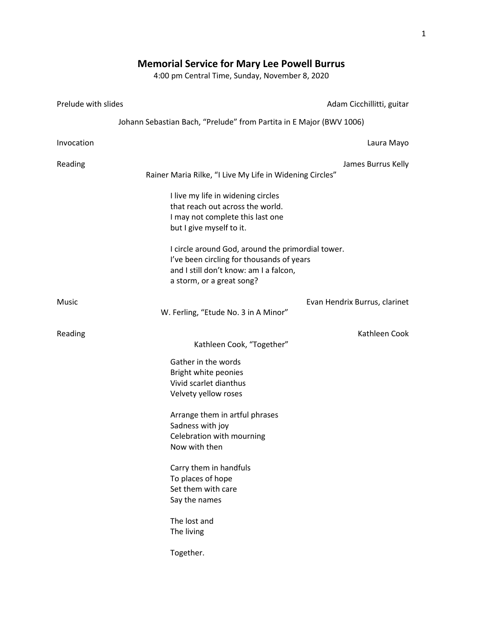## **Memorial Service for Mary Lee Powell Burrus**

4:00 pm Central Time, Sunday, November 8, 2020

| Prelude with slides | Adam Cicchillitti, guitar                                                                                                                                             |
|---------------------|-----------------------------------------------------------------------------------------------------------------------------------------------------------------------|
|                     | Johann Sebastian Bach, "Prelude" from Partita in E Major (BWV 1006)                                                                                                   |
| Invocation          | Laura Mayo                                                                                                                                                            |
| Reading             | James Burrus Kelly<br>Rainer Maria Rilke, "I Live My Life in Widening Circles"                                                                                        |
|                     | I live my life in widening circles<br>that reach out across the world.<br>I may not complete this last one<br>but I give myself to it.                                |
|                     | I circle around God, around the primordial tower.<br>I've been circling for thousands of years<br>and I still don't know: am I a falcon,<br>a storm, or a great song? |
| Music               | Evan Hendrix Burrus, clarinet<br>W. Ferling, "Etude No. 3 in A Minor"                                                                                                 |
| Reading             | Kathleen Cook<br>Kathleen Cook, "Together"                                                                                                                            |
|                     | Gather in the words<br>Bright white peonies<br>Vivid scarlet dianthus<br>Velvety yellow roses                                                                         |
|                     | Arrange them in artful phrases<br>Sadness with joy<br>Celebration with mourning<br>Now with then                                                                      |
|                     | Carry them in handfuls<br>To places of hope<br>Set them with care<br>Say the names                                                                                    |
|                     | The lost and<br>The living                                                                                                                                            |
|                     | Together.                                                                                                                                                             |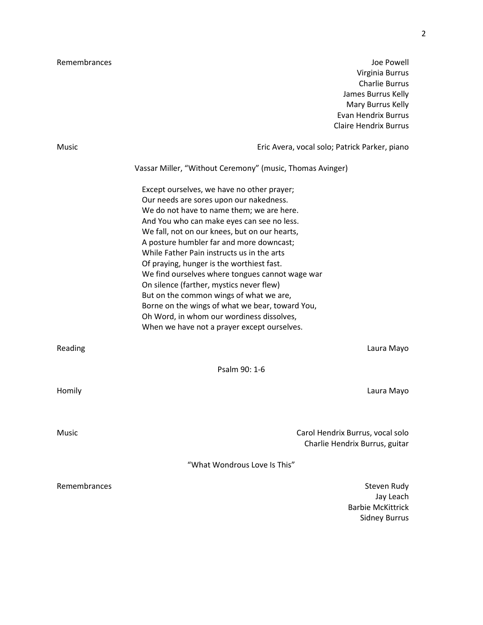Remembrances and the extension of the extent of the extent of the extent of the Powell disc Powell Virginia Burrus Charlie Burrus James Burrus Kelly Mary Burrus Kelly Evan Hendrix Burrus Claire Hendrix Burrus

| Music        | Eric Avera, vocal solo; Patrick Parker, piano                                                                                                                                                                                                                                                                                                                                                                                                                                                                                                                                                                                                                     |
|--------------|-------------------------------------------------------------------------------------------------------------------------------------------------------------------------------------------------------------------------------------------------------------------------------------------------------------------------------------------------------------------------------------------------------------------------------------------------------------------------------------------------------------------------------------------------------------------------------------------------------------------------------------------------------------------|
|              | Vassar Miller, "Without Ceremony" (music, Thomas Avinger)                                                                                                                                                                                                                                                                                                                                                                                                                                                                                                                                                                                                         |
|              | Except ourselves, we have no other prayer;<br>Our needs are sores upon our nakedness.<br>We do not have to name them; we are here.<br>And You who can make eyes can see no less.<br>We fall, not on our knees, but on our hearts,<br>A posture humbler far and more downcast;<br>While Father Pain instructs us in the arts<br>Of praying, hunger is the worthiest fast.<br>We find ourselves where tongues cannot wage war<br>On silence (farther, mystics never flew)<br>But on the common wings of what we are,<br>Borne on the wings of what we bear, toward You,<br>Oh Word, in whom our wordiness dissolves,<br>When we have not a prayer except ourselves. |
| Reading      | Laura Mayo                                                                                                                                                                                                                                                                                                                                                                                                                                                                                                                                                                                                                                                        |
|              | Psalm 90: 1-6                                                                                                                                                                                                                                                                                                                                                                                                                                                                                                                                                                                                                                                     |
| Homily       | Laura Mayo                                                                                                                                                                                                                                                                                                                                                                                                                                                                                                                                                                                                                                                        |
| Music        | Carol Hendrix Burrus, vocal solo<br>Charlie Hendrix Burrus, guitar                                                                                                                                                                                                                                                                                                                                                                                                                                                                                                                                                                                                |
|              | "What Wondrous Love Is This"                                                                                                                                                                                                                                                                                                                                                                                                                                                                                                                                                                                                                                      |
| Remembrances | Steven Rudy<br>Jay Leach<br><b>Barbie McKittrick</b><br><b>Sidney Burrus</b>                                                                                                                                                                                                                                                                                                                                                                                                                                                                                                                                                                                      |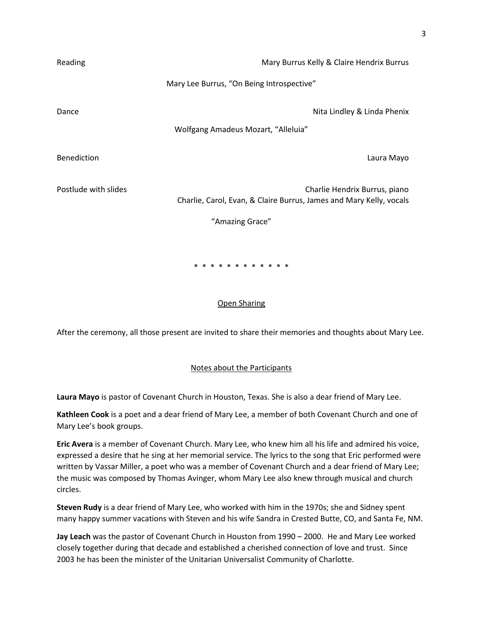| Reading              | Mary Burrus Kelly & Claire Hendrix Burrus                                                            |
|----------------------|------------------------------------------------------------------------------------------------------|
|                      | Mary Lee Burrus, "On Being Introspective"                                                            |
| Dance                | Nita Lindley & Linda Phenix                                                                          |
|                      | Wolfgang Amadeus Mozart, "Alleluia"                                                                  |
| Benediction          | Laura Mayo                                                                                           |
| Postlude with slides | Charlie Hendrix Burrus, piano<br>Charlie, Carol, Evan, & Claire Burrus, James and Mary Kelly, vocals |
|                      | "Amazing Grace"                                                                                      |
|                      |                                                                                                      |
|                      | *<br>* * * * * * * * * * *                                                                           |

## Open Sharing

After the ceremony, all those present are invited to share their memories and thoughts about Mary Lee.

## Notes about the Participants

**Laura Mayo** is pastor of Covenant Church in Houston, Texas. She is also a dear friend of Mary Lee.

**Kathleen Cook** is a poet and a dear friend of Mary Lee, a member of both Covenant Church and one of Mary Lee's book groups.

**Eric Avera** is a member of Covenant Church. Mary Lee, who knew him all his life and admired his voice, expressed a desire that he sing at her memorial service. The lyrics to the song that Eric performed were written by Vassar Miller, a poet who was a member of Covenant Church and a dear friend of Mary Lee; the music was composed by Thomas Avinger, whom Mary Lee also knew through musical and church circles.

**Steven Rudy** is a dear friend of Mary Lee, who worked with him in the 1970s; she and Sidney spent many happy summer vacations with Steven and his wife Sandra in Crested Butte, CO, and Santa Fe, NM.

**Jay Leach** was the pastor of Covenant Church in Houston from 1990 – 2000. He and Mary Lee worked closely together during that decade and established a cherished connection of love and trust. Since 2003 he has been the minister of the Unitarian Universalist Community of Charlotte.